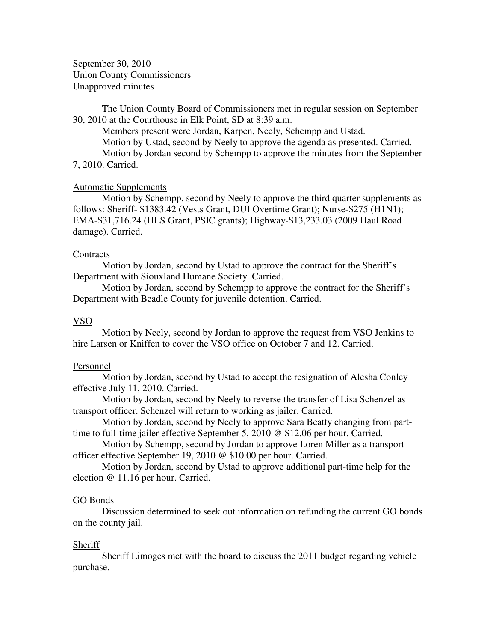September 30, 2010 Union County Commissioners Unapproved minutes

The Union County Board of Commissioners met in regular session on September 30, 2010 at the Courthouse in Elk Point, SD at 8:39 a.m.

 Members present were Jordan, Karpen, Neely, Schempp and Ustad. Motion by Ustad, second by Neely to approve the agenda as presented. Carried. Motion by Jordan second by Schempp to approve the minutes from the September 7, 2010. Carried.

### Automatic Supplements

 Motion by Schempp, second by Neely to approve the third quarter supplements as follows: Sheriff- \$1383.42 (Vests Grant, DUI Overtime Grant); Nurse-\$275 (H1N1); EMA-\$31,716.24 (HLS Grant, PSIC grants); Highway-\$13,233.03 (2009 Haul Road damage). Carried.

### **Contracts**

 Motion by Jordan, second by Ustad to approve the contract for the Sheriff's Department with Siouxland Humane Society. Carried.

 Motion by Jordan, second by Schempp to approve the contract for the Sheriff's Department with Beadle County for juvenile detention. Carried.

## VSO

 Motion by Neely, second by Jordan to approve the request from VSO Jenkins to hire Larsen or Kniffen to cover the VSO office on October 7 and 12. Carried.

### Personnel

 Motion by Jordan, second by Ustad to accept the resignation of Alesha Conley effective July 11, 2010. Carried.

 Motion by Jordan, second by Neely to reverse the transfer of Lisa Schenzel as transport officer. Schenzel will return to working as jailer. Carried.

 Motion by Jordan, second by Neely to approve Sara Beatty changing from parttime to full-time jailer effective September 5, 2010 @ \$12.06 per hour. Carried.

 Motion by Schempp, second by Jordan to approve Loren Miller as a transport officer effective September 19, 2010 @ \$10.00 per hour. Carried.

 Motion by Jordan, second by Ustad to approve additional part-time help for the election @ 11.16 per hour. Carried.

#### GO Bonds

 Discussion determined to seek out information on refunding the current GO bonds on the county jail.

#### Sheriff

 Sheriff Limoges met with the board to discuss the 2011 budget regarding vehicle purchase.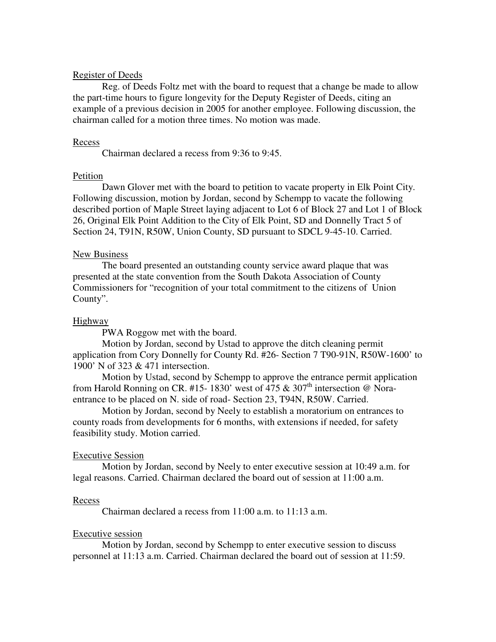# Register of Deeds

 Reg. of Deeds Foltz met with the board to request that a change be made to allow the part-time hours to figure longevity for the Deputy Register of Deeds, citing an example of a previous decision in 2005 for another employee. Following discussion, the chairman called for a motion three times. No motion was made.

## Recess

Chairman declared a recess from 9:36 to 9:45.

## Petition

 Dawn Glover met with the board to petition to vacate property in Elk Point City. Following discussion, motion by Jordan, second by Schempp to vacate the following described portion of Maple Street laying adjacent to Lot 6 of Block 27 and Lot 1 of Block 26, Original Elk Point Addition to the City of Elk Point, SD and Donnelly Tract 5 of Section 24, T91N, R50W, Union County, SD pursuant to SDCL 9-45-10. Carried.

## New Business

 The board presented an outstanding county service award plaque that was presented at the state convention from the South Dakota Association of County Commissioners for "recognition of your total commitment to the citizens of Union County".

# Highway

PWA Roggow met with the board.

 Motion by Jordan, second by Ustad to approve the ditch cleaning permit application from Cory Donnelly for County Rd. #26- Section 7 T90-91N, R50W-1600' to 1900' N of 323 & 471 intersection.

 Motion by Ustad, second by Schempp to approve the entrance permit application from Harold Ronning on CR. #15- 1830' west of 475  $&$  307<sup>th</sup> intersection @ Noraentrance to be placed on N. side of road- Section 23, T94N, R50W. Carried.

Motion by Jordan, second by Neely to establish a moratorium on entrances to county roads from developments for 6 months, with extensions if needed, for safety feasibility study. Motion carried.

#### Executive Session

 Motion by Jordan, second by Neely to enter executive session at 10:49 a.m. for legal reasons. Carried. Chairman declared the board out of session at 11:00 a.m.

#### Recess

Chairman declared a recess from 11:00 a.m. to 11:13 a.m.

#### Executive session

 Motion by Jordan, second by Schempp to enter executive session to discuss personnel at 11:13 a.m. Carried. Chairman declared the board out of session at 11:59.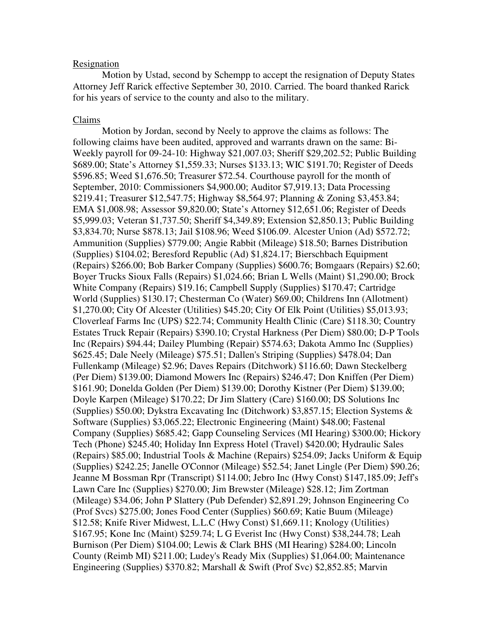# Resignation

 Motion by Ustad, second by Schempp to accept the resignation of Deputy States Attorney Jeff Rarick effective September 30, 2010. Carried. The board thanked Rarick for his years of service to the county and also to the military.

## Claims

 Motion by Jordan, second by Neely to approve the claims as follows: The following claims have been audited, approved and warrants drawn on the same: Bi-Weekly payroll for 09-24-10: Highway \$21,007.03; Sheriff \$29,202.52; Public Building \$689.00; State's Attorney \$1,559.33; Nurses \$133.13; WIC \$191.70; Register of Deeds \$596.85; Weed \$1,676.50; Treasurer \$72.54. Courthouse payroll for the month of September, 2010: Commissioners \$4,900.00; Auditor \$7,919.13; Data Processing \$219.41; Treasurer \$12,547.75; Highway \$8,564.97; Planning & Zoning \$3,453.84; EMA \$1,008.98; Assessor \$9,820.00; State's Attorney \$12,651.06; Register of Deeds \$5,999.03; Veteran \$1,737.50; Sheriff \$4,349.89; Extension \$2,850.13; Public Building \$3,834.70; Nurse \$878.13; Jail \$108.96; Weed \$106.09. Alcester Union (Ad) \$572.72; Ammunition (Supplies) \$779.00; Angie Rabbit (Mileage) \$18.50; Barnes Distribution (Supplies) \$104.02; Beresford Republic (Ad) \$1,824.17; Bierschbach Equipment (Repairs) \$266.00; Bob Barker Company (Supplies) \$600.76; Bomgaars (Repairs) \$2.60; Boyer Trucks Sioux Falls (Repairs) \$1,024.66; Brian L Wells (Maint) \$1,290.00; Brock White Company (Repairs) \$19.16; Campbell Supply (Supplies) \$170.47; Cartridge World (Supplies) \$130.17; Chesterman Co (Water) \$69.00; Childrens Inn (Allotment) \$1,270.00; City Of Alcester (Utilities) \$45.20; City Of Elk Point (Utilities) \$5,013.93; Cloverleaf Farms Inc (UPS) \$22.74; Community Health Clinic (Care) \$118.30; Country Estates Truck Repair (Repairs) \$390.10; Crystal Harkness (Per Diem) \$80.00; D-P Tools Inc (Repairs) \$94.44; Dailey Plumbing (Repair) \$574.63; Dakota Ammo Inc (Supplies) \$625.45; Dale Neely (Mileage) \$75.51; Dallen's Striping (Supplies) \$478.04; Dan Fullenkamp (Mileage) \$2.96; Daves Repairs (Ditchwork) \$116.60; Dawn Steckelberg (Per Diem) \$139.00; Diamond Mowers Inc (Repairs) \$246.47; Don Kniffen (Per Diem) \$161.90; Donelda Golden (Per Diem) \$139.00; Dorothy Kistner (Per Diem) \$139.00; Doyle Karpen (Mileage) \$170.22; Dr Jim Slattery (Care) \$160.00; DS Solutions Inc (Supplies) \$50.00; Dykstra Excavating Inc (Ditchwork) \$3,857.15; Election Systems & Software (Supplies) \$3,065.22; Electronic Engineering (Maint) \$48.00; Fastenal Company (Supplies) \$685.42; Gapp Counseling Services (MI Hearing) \$300.00; Hickory Tech (Phone) \$245.40; Holiday Inn Express Hotel (Travel) \$420.00; Hydraulic Sales (Repairs) \$85.00; Industrial Tools & Machine (Repairs) \$254.09; Jacks Uniform & Equip (Supplies) \$242.25; Janelle O'Connor (Mileage) \$52.54; Janet Lingle (Per Diem) \$90.26; Jeanne M Bossman Rpr (Transcript) \$114.00; Jebro Inc (Hwy Const) \$147,185.09; Jeff's Lawn Care Inc (Supplies) \$270.00; Jim Brewster (Mileage) \$28.12; Jim Zortman (Mileage) \$34.06; John P Slattery (Pub Defender) \$2,891.29; Johnson Engineering Co (Prof Svcs) \$275.00; Jones Food Center (Supplies) \$60.69; Katie Buum (Mileage) \$12.58; Knife River Midwest, L.L.C (Hwy Const) \$1,669.11; Knology (Utilities) \$167.95; Kone Inc (Maint) \$259.74; L G Everist Inc (Hwy Const) \$38,244.78; Leah Burnison (Per Diem) \$104.00; Lewis & Clark BHS (MI Hearing) \$284.00; Lincoln County (Reimb MI) \$211.00; Ludey's Ready Mix (Supplies) \$1,064.00; Maintenance Engineering (Supplies) \$370.82; Marshall & Swift (Prof Svc) \$2,852.85; Marvin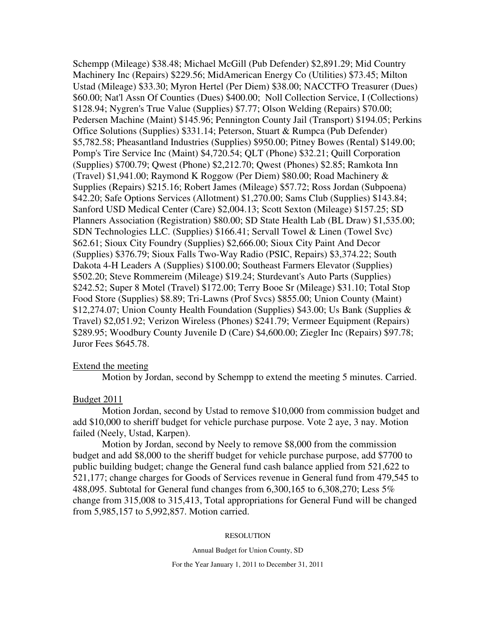Schempp (Mileage) \$38.48; Michael McGill (Pub Defender) \$2,891.29; Mid Country Machinery Inc (Repairs) \$229.56; MidAmerican Energy Co (Utilities) \$73.45; Milton Ustad (Mileage) \$33.30; Myron Hertel (Per Diem) \$38.00; NACCTFO Treasurer (Dues) \$60.00; Nat'l Assn Of Counties (Dues) \$400.00; Noll Collection Service, I (Collections) \$128.94; Nygren's True Value (Supplies) \$7.77; Olson Welding (Repairs) \$70.00; Pedersen Machine (Maint) \$145.96; Pennington County Jail (Transport) \$194.05; Perkins Office Solutions (Supplies) \$331.14; Peterson, Stuart & Rumpca (Pub Defender) \$5,782.58; Pheasantland Industries (Supplies) \$950.00; Pitney Bowes (Rental) \$149.00; Pomp's Tire Service Inc (Maint) \$4,720.54; QLT (Phone) \$32.21; Quill Corporation (Supplies) \$700.79; Qwest (Phone) \$2,212.70; Qwest (Phones) \$2.85; Ramkota Inn (Travel) \$1,941.00; Raymond K Roggow (Per Diem) \$80.00; Road Machinery & Supplies (Repairs) \$215.16; Robert James (Mileage) \$57.72; Ross Jordan (Subpoena) \$42.20; Safe Options Services (Allotment) \$1,270.00; Sams Club (Supplies) \$143.84; Sanford USD Medical Center (Care) \$2,004.13; Scott Sexton (Mileage) \$157.25; SD Planners Association (Registration) \$80.00; SD State Health Lab (BL Draw) \$1,535.00; SDN Technologies LLC. (Supplies) \$166.41; Servall Towel & Linen (Towel Svc) \$62.61; Sioux City Foundry (Supplies) \$2,666.00; Sioux City Paint And Decor (Supplies) \$376.79; Sioux Falls Two-Way Radio (PSIC, Repairs) \$3,374.22; South Dakota 4-H Leaders A (Supplies) \$100.00; Southeast Farmers Elevator (Supplies) \$502.20; Steve Rommereim (Mileage) \$19.24; Sturdevant's Auto Parts (Supplies) \$242.52; Super 8 Motel (Travel) \$172.00; Terry Booe Sr (Mileage) \$31.10; Total Stop Food Store (Supplies) \$8.89; Tri-Lawns (Prof Svcs) \$855.00; Union County (Maint) \$12,274.07; Union County Health Foundation (Supplies) \$43.00; Us Bank (Supplies & Travel) \$2,051.92; Verizon Wireless (Phones) \$241.79; Vermeer Equipment (Repairs) \$289.95; Woodbury County Juvenile D (Care) \$4,600.00; Ziegler Inc (Repairs) \$97.78; Juror Fees \$645.78.

### Extend the meeting

Motion by Jordan, second by Schempp to extend the meeting 5 minutes. Carried.

## Budget 2011

 Motion Jordan, second by Ustad to remove \$10,000 from commission budget and add \$10,000 to sheriff budget for vehicle purchase purpose. Vote 2 aye, 3 nay. Motion failed (Neely, Ustad, Karpen).

 Motion by Jordan, second by Neely to remove \$8,000 from the commission budget and add \$8,000 to the sheriff budget for vehicle purchase purpose, add \$7700 to public building budget; change the General fund cash balance applied from 521,622 to 521,177; change charges for Goods of Services revenue in General fund from 479,545 to 488,095. Subtotal for General fund changes from 6,300,165 to 6,308,270; Less 5% change from 315,008 to 315,413, Total appropriations for General Fund will be changed from 5,985,157 to 5,992,857. Motion carried.

#### RESOLUTION

Annual Budget for Union County, SD

For the Year January 1, 2011 to December 31, 2011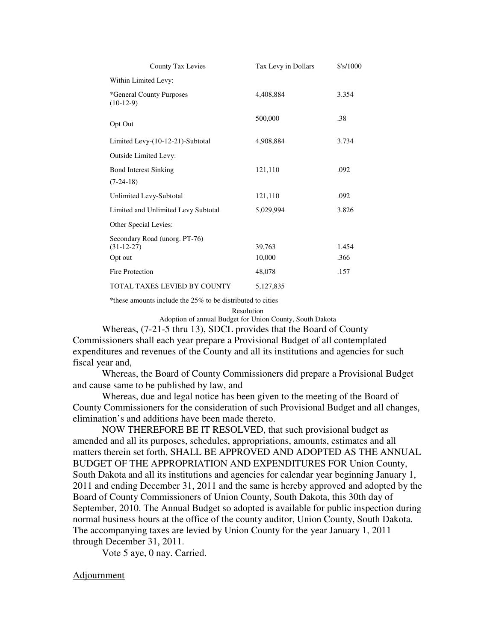| County Tax Levies                                        | Tax Levy in Dollars | \$'s/1000     |
|----------------------------------------------------------|---------------------|---------------|
| Within Limited Levy:                                     |                     |               |
| *General County Purposes<br>$(10-12-9)$                  | 4,408,884           | 3.354         |
| Opt Out                                                  | 500,000             | .38           |
| Limited Levy-(10-12-21)-Subtotal                         | 4,908,884           | 3.734         |
| Outside Limited Levy:                                    |                     |               |
| <b>Bond Interest Sinking</b>                             | 121,110             | .092          |
| $(7-24-18)$                                              |                     |               |
| Unlimited Levy-Subtotal                                  | 121,110             | .092          |
| Limited and Unlimited Levy Subtotal                      | 5,029,994           | 3.826         |
| Other Special Levies:                                    |                     |               |
| Secondary Road (unorg. PT-76)<br>$(31-12-27)$<br>Opt out | 39,763<br>10,000    | 1.454<br>.366 |
| Fire Protection                                          | 48,078              | .157          |
| TOTAL TAXES LEVIED BY COUNTY                             | 5.127.835           |               |

\*these amounts include the 25% to be distributed to cities

Resolution

Adoption of annual Budget for Union County, South Dakota

 Whereas, (7-21-5 thru 13), SDCL provides that the Board of County Commissioners shall each year prepare a Provisional Budget of all contemplated expenditures and revenues of the County and all its institutions and agencies for such fiscal year and,

 Whereas, the Board of County Commissioners did prepare a Provisional Budget and cause same to be published by law, and

 Whereas, due and legal notice has been given to the meeting of the Board of County Commissioners for the consideration of such Provisional Budget and all changes, elimination's and additions have been made thereto.

 NOW THEREFORE BE IT RESOLVED, that such provisional budget as amended and all its purposes, schedules, appropriations, amounts, estimates and all matters therein set forth, SHALL BE APPROVED AND ADOPTED AS THE ANNUAL BUDGET OF THE APPROPRIATION AND EXPENDITURES FOR Union County, South Dakota and all its institutions and agencies for calendar year beginning January 1, 2011 and ending December 31, 2011 and the same is hereby approved and adopted by the Board of County Commissioners of Union County, South Dakota, this 30th day of September, 2010. The Annual Budget so adopted is available for public inspection during normal business hours at the office of the county auditor, Union County, South Dakota. The accompanying taxes are levied by Union County for the year January 1, 2011 through December 31, 2011.

Vote 5 aye, 0 nay. Carried.

## Adjournment